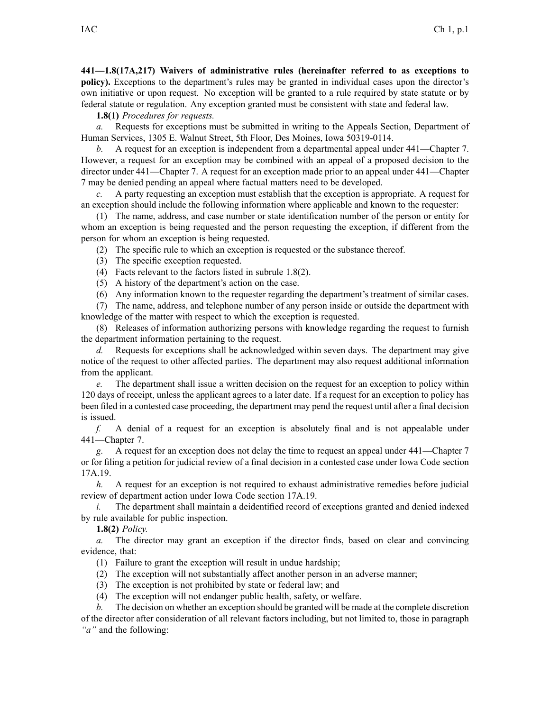**441—1.8(17A,217) Waivers of administrative rules (hereinafter referred to as exceptions to policy).** Exceptions to the department's rules may be granted in individual cases upon the director's own initiative or upon request. No exception will be granted to <sup>a</sup> rule required by state statute or by federal statute or regulation. Any exception granted must be consistent with state and federal law.

**1.8(1)** *Procedures for requests.*

*a.* Requests for exceptions must be submitted in writing to the Appeals Section, Department of Human Services, 1305 E. Walnut Street, 5th Floor, Des Moines, Iowa 50319-0114.

*b.* A request for an exception is independent from a departmental appeal under 441—Chapter 7. However, <sup>a</sup> reques<sup>t</sup> for an exception may be combined with an appeal of <sup>a</sup> proposed decision to the director under 441—Chapter 7. A reques<sup>t</sup> for an exception made prior to an appeal under 441—Chapter 7 may be denied pending an appeal where factual matters need to be developed.

*c.* A party requesting an exception must establish that the exception is appropriate. A reques<sup>t</sup> for an exception should include the following information where applicable and known to the requester:

(1) The name, address, and case number or state identification number of the person or entity for whom an exception is being requested and the person requesting the exception, if different from the person for whom an exception is being requested.

(2) The specific rule to which an exception is requested or the substance thereof.

- (3) The specific exception requested.
- (4) Facts relevant to the factors listed in subrule 1.8(2).
- (5) A history of the department's action on the case.
- (6) Any information known to the requester regarding the department's treatment of similar cases.

(7) The name, address, and telephone number of any person inside or outside the department with knowledge of the matter with respec<sup>t</sup> to which the exception is requested.

(8) Releases of information authorizing persons with knowledge regarding the reques<sup>t</sup> to furnish the department information pertaining to the request.

*d.* Requests for exceptions shall be acknowledged within seven days. The department may give notice of the reques<sup>t</sup> to other affected parties. The department may also reques<sup>t</sup> additional information from the applicant.

*e.* The department shall issue <sup>a</sup> written decision on the reques<sup>t</sup> for an exception to policy within 120 days of receipt, unless the applicant agrees to <sup>a</sup> later date. If <sup>a</sup> reques<sup>t</sup> for an exception to policy has been filed in <sup>a</sup> contested case proceeding, the department may pend the reques<sup>t</sup> until after <sup>a</sup> final decision is issued.

*f.* A denial of <sup>a</sup> reques<sup>t</sup> for an exception is absolutely final and is not appealable under 441—Chapter 7.

*g.* A reques<sup>t</sup> for an exception does not delay the time to reques<sup>t</sup> an appeal under 441—Chapter 7 or for filing <sup>a</sup> petition for judicial review of <sup>a</sup> final decision in <sup>a</sup> contested case under Iowa Code section 17A.19.

*h.* A request for an exception is not required to exhaust administrative remedies before judicial review of department action under Iowa Code section 17A.19.

*i.* The department shall maintain <sup>a</sup> deidentified record of exceptions granted and denied indexed by rule available for public inspection.

**1.8(2)** *Policy.*

*a.* The director may gran<sup>t</sup> an exception if the director finds, based on clear and convincing evidence, that:

- (1) Failure to gran<sup>t</sup> the exception will result in undue hardship;
- (2) The exception will not substantially affect another person in an adverse manner;
- (3) The exception is not prohibited by state or federal law; and
- (4) The exception will not endanger public health, safety, or welfare.

*b.* The decision on whether an exception should be granted will be made at the complete discretion of the director after consideration of all relevant factors including, but not limited to, those in paragraph *"a"* and the following: